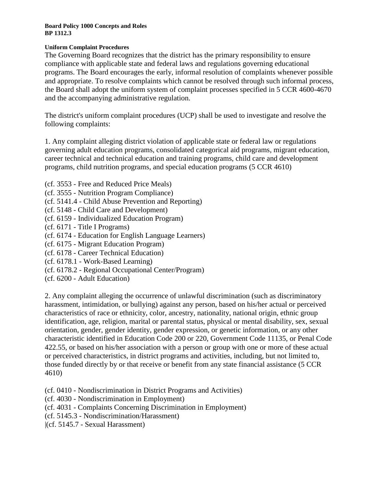## **Uniform Complaint Procedures**

The Governing Board recognizes that the district has the primary responsibility to ensure compliance with applicable state and federal laws and regulations governing educational programs. The Board encourages the early, informal resolution of complaints whenever possible and appropriate. To resolve complaints which cannot be resolved through such informal process, the Board shall adopt the uniform system of complaint processes specified in 5 CCR [4600](http://gamutonline.net/displayPolicy/187020/1)[-4670](http://gamutonline.net/displayPolicy/187039/1) and the accompanying administrative regulation.

The district's uniform complaint procedures (UCP) shall be used to investigate and resolve the following complaints:

1. Any complaint alleging district violation of applicable state or federal law or regulations governing adult education programs, consolidated categorical aid programs, migrant education, career technical and technical education and training programs, child care and development programs, child nutrition programs, and special education programs (5 CCR [4610\)](http://gamutonline.net/displayPolicy/187021/1)

- (cf. [3553](http://gamutonline.net/displayPolicy/352645/1) Free and Reduced Price Meals)
- (cf. [3555](http://gamutonline.net/displayPolicy/637918/1) Nutrition Program Compliance)
- (cf. [5141.4](http://gamutonline.net/displayPolicy/352660/1) Child Abuse Prevention and Reporting)
- (cf. [5148](http://gamutonline.net/displayPolicy/993216/1) Child Care and Development)
- (cf. [6159](http://gamutonline.net/displayPolicy/292829/1) Individualized Education Program)
- (cf. [6171](http://gamutonline.net/displayPolicy/288781/1) Title I Programs)
- (cf. [6174](http://gamutonline.net/displayPolicy/288783/1) Education for English Language Learners)
- (cf. [6175](http://gamutonline.net/displayPolicy/303911/1) Migrant Education Program)
- (cf. [6178](http://gamutonline.net/displayPolicy/211110/1) Career Technical Education)
- (cf. [6178.1](http://gamutonline.net/displayPolicy/222847/1) Work-Based Learning)
- (cf. [6178.2](http://gamutonline.net/displayPolicy/500011/1) Regional Occupational Center/Program)
- (cf. [6200](http://gamutonline.net/displayPolicy/171737/1) Adult Education)

2. Any complaint alleging the occurrence of unlawful discrimination (such as discriminatory harassment, intimidation, or bullying) against any person, based on his/her actual or perceived characteristics of race or ethnicity, color, ancestry, nationality, national origin, ethnic group identification, age, religion, marital or parental status, physical or mental disability, sex, sexual orientation, gender, gender identity, gender expression, or genetic information, or any other characteristic identified in Education Code [200](http://gamutonline.net/displayPolicy/138754/1) or [220,](http://gamutonline.net/displayPolicy/138763/1) Government Code [11135,](http://gamutonline.net/displayPolicy/144547/1) or Penal Code [422.55,](http://gamutonline.net/displayPolicy/352313/1) or based on his/her association with a person or group with one or more of these actual or perceived characteristics, in district programs and activities, including, but not limited to, those funded directly by or that receive or benefit from any state financial assistance (5 CCR [4610\)](http://gamutonline.net/displayPolicy/187021/1)

- (cf. [0410](http://gamutonline.net/displayPolicy/890898/1) Nondiscrimination in District Programs and Activities)
- (cf. [4030](http://gamutonline.net/displayPolicy/315731/1) Nondiscrimination in Employment)
- (cf. [4031](http://gamutonline.net/displayPolicy/171687/1) Complaints Concerning Discrimination in Employment)
- (cf. [5145.3](http://gamutonline.net/displayPolicy/890899/1) Nondiscrimination/Harassment)
- |(cf. [5145.7](http://gamutonline.net/displayPolicy/171697/1) Sexual Harassment)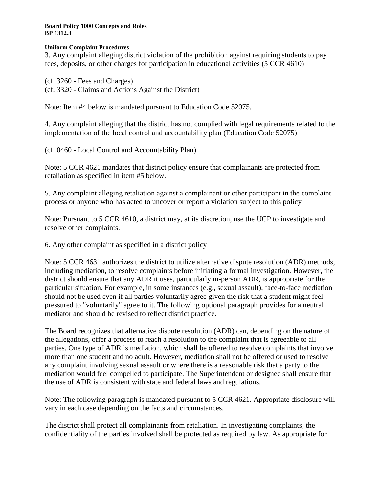### **Uniform Complaint Procedures**

3. Any complaint alleging district violation of the prohibition against requiring students to pay fees, deposits, or other charges for participation in educational activities (5 CCR [4610\)](http://gamutonline.net/displayPolicy/187021/1)

(cf. [3260](http://gamutonline.net/displayPolicy/909474/1) - Fees and Charges) (cf. [3320](http://gamutonline.net/displayPolicy/559087/1) - Claims and Actions Against the District)

Note: Item #4 below is mandated pursuant to Education Code [52075.](http://gamutonline.net/displayPolicy/899535/1)

4. Any complaint alleging that the district has not complied with legal requirements related to the implementation of the local control and accountability plan (Education Code [52075\)](http://gamutonline.net/displayPolicy/899535/1)

(cf. [0460](http://gamutonline.net/displayPolicy/857369/1) - Local Control and Accountability Plan)

Note: 5 CCR [4621](http://gamutonline.net/displayPolicy/187024/1) mandates that district policy ensure that complainants are protected from retaliation as specified in item #5 below.

5. Any complaint alleging retaliation against a complainant or other participant in the complaint process or anyone who has acted to uncover or report a violation subject to this policy

Note: Pursuant to 5 CCR [4610,](http://gamutonline.net/displayPolicy/187021/1) a district may, at its discretion, use the UCP to investigate and resolve other complaints.

6. Any other complaint as specified in a district policy

Note: 5 CCR [4631](http://gamutonline.net/displayPolicy/187027/1) authorizes the district to utilize alternative dispute resolution (ADR) methods, including mediation, to resolve complaints before initiating a formal investigation. However, the district should ensure that any ADR it uses, particularly in-person ADR, is appropriate for the particular situation. For example, in some instances (e.g., sexual assault), face-to-face mediation should not be used even if all parties voluntarily agree given the risk that a student might feel pressured to "voluntarily" agree to it. The following optional paragraph provides for a neutral mediator and should be revised to reflect district practice.

The Board recognizes that alternative dispute resolution (ADR) can, depending on the nature of the allegations, offer a process to reach a resolution to the complaint that is agreeable to all parties. One type of ADR is mediation, which shall be offered to resolve complaints that involve more than one student and no adult. However, mediation shall not be offered or used to resolve any complaint involving sexual assault or where there is a reasonable risk that a party to the mediation would feel compelled to participate. The Superintendent or designee shall ensure that the use of ADR is consistent with state and federal laws and regulations.

Note: The following paragraph is mandated pursuant to 5 CCR [4621.](http://gamutonline.net/displayPolicy/187024/1) Appropriate disclosure will vary in each case depending on the facts and circumstances.

The district shall protect all complainants from retaliation. In investigating complaints, the confidentiality of the parties involved shall be protected as required by law. As appropriate for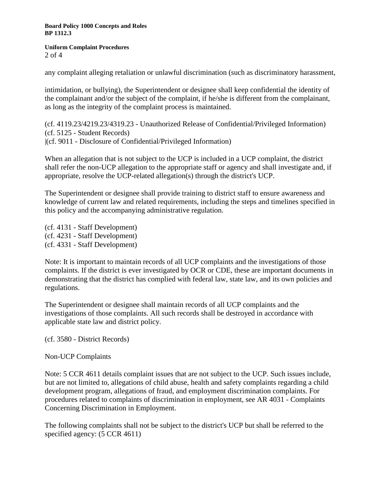#### **Uniform Complaint Procedures** 2 of 4

any complaint alleging retaliation or unlawful discrimination (such as discriminatory harassment,

intimidation, or bullying), the Superintendent or designee shall keep confidential the identity of the complainant and/or the subject of the complaint, if he/she is different from the complainant, as long as the integrity of the complaint process is maintained.

(cf. [4119.23/](http://gamutonline.net/displayPolicy/303903/1)[4219.23/](http://gamutonline.net/displayPolicy/321731/1)[4319.23](http://gamutonline.net/displayPolicy/321732/1) - Unauthorized Release of Confidential/Privileged Information) (cf. [5125](http://gamutonline.net/displayPolicy/559084/1) - Student Records) |(cf. [9011](http://gamutonline.net/displayPolicy/288786/1) - Disclosure of Confidential/Privileged Information)

When an allegation that is not subject to the UCP is included in a UCP complaint, the district shall refer the non-UCP allegation to the appropriate staff or agency and shall investigate and, if appropriate, resolve the UCP-related allegation(s) through the district's UCP.

The Superintendent or designee shall provide training to district staff to ensure awareness and knowledge of current law and related requirements, including the steps and timelines specified in this policy and the accompanying administrative regulation.

(cf. [4131](http://gamutonline.net/displayPolicy/993209/1) - Staff Development) (cf. [4231](http://gamutonline.net/displayPolicy/993213/1) - Staff Development) (cf. [4331](http://gamutonline.net/displayPolicy/171627/1) - Staff Development)

Note: It is important to maintain records of all UCP complaints and the investigations of those complaints. If the district is ever investigated by OCR or CDE, these are important documents in demonstrating that the district has complied with federal law, state law, and its own policies and regulations.

The Superintendent or designee shall maintain records of all UCP complaints and the investigations of those complaints. All such records shall be destroyed in accordance with applicable state law and district policy.

(cf. [3580](http://gamutonline.net/displayPolicy/234058/1) - District Records)

Non-UCP Complaints

Note: 5 CCR [4611](http://gamutonline.net/displayPolicy/264258/1) details complaint issues that are not subject to the UCP. Such issues include, but are not limited to, allegations of child abuse, health and safety complaints regarding a child development program, allegations of fraud, and employment discrimination complaints. For procedures related to complaints of discrimination in employment, see AR [4031](http://gamutonline.net/displayPolicy/171687/1) - Complaints Concerning Discrimination in Employment.

The following complaints shall not be subject to the district's UCP but shall be referred to the specified agency:  $(5$  CCR [4611\)](http://gamutonline.net/displayPolicy/264258/1)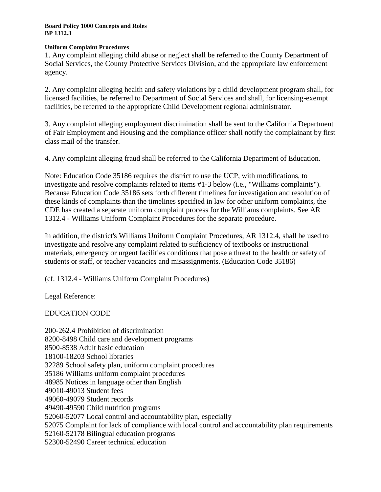### **Uniform Complaint Procedures**

1. Any complaint alleging child abuse or neglect shall be referred to the County Department of Social Services, the County Protective Services Division, and the appropriate law enforcement agency.

2. Any complaint alleging health and safety violations by a child development program shall, for licensed facilities, be referred to Department of Social Services and shall, for licensing-exempt facilities, be referred to the appropriate Child Development regional administrator.

3. Any complaint alleging employment discrimination shall be sent to the California Department of Fair Employment and Housing and the compliance officer shall notify the complainant by first class mail of the transfer.

4. Any complaint alleging fraud shall be referred to the California Department of Education.

Note: Education Code [35186](http://gamutonline.net/displayPolicy/352127/1) requires the district to use the UCP, with modifications, to investigate and resolve complaints related to items #1-3 below (i.e., "Williams complaints"). Because Education Code [35186](http://gamutonline.net/displayPolicy/352127/1) sets forth different timelines for investigation and resolution of these kinds of complaints than the timelines specified in law for other uniform complaints, the CDE has created a separate uniform complaint process for the Williams complaints. See AR [1312.4](http://gamutonline.net/displayPolicy/936007/1) - Williams Uniform Complaint Procedures for the separate procedure.

In addition, the district's Williams Uniform Complaint Procedures, AR 1312.4, shall be used to investigate and resolve any complaint related to sufficiency of textbooks or instructional materials, emergency or urgent facilities conditions that pose a threat to the health or safety of students or staff, or teacher vacancies and misassignments. (Education Code [35186\)](http://gamutonline.net/displayPolicy/352127/1)

(cf. [1312.4](http://gamutonline.net/displayPolicy/936007/1) - Williams Uniform Complaint Procedures)

Legal Reference:

# EDUCATION CODE

[-262.4](http://gamutonline.net/displayPolicy/138778/1) Prohibition of discrimination [-8498](http://gamutonline.net/displayPolicy/129482/1) Child care and development programs [-8538](http://gamutonline.net/displayPolicy/129493/1) Adult basic education [-18203](http://gamutonline.net/displayPolicy/204126/1) School libraries School safety plan, uniform complaint procedures Williams uniform complaint procedures Notices in language other than English [-49013](http://gamutonline.net/displayPolicy/781186/1) Student fees [-49079](http://gamutonline.net/displayPolicy/226085/1) Student records [-49590](http://gamutonline.net/displayPolicy/137374/1) Child nutrition programs [-52077](http://gamutonline.net/displayPolicy/899537/1) Local control and accountability plan, especially Complaint for lack of compliance with local control and accountability plan requirements [-52178](http://gamutonline.net/displayPolicy/132883/1) Bilingual education programs [-52490](http://gamutonline.net/displayPolicy/136127/1) Career technical education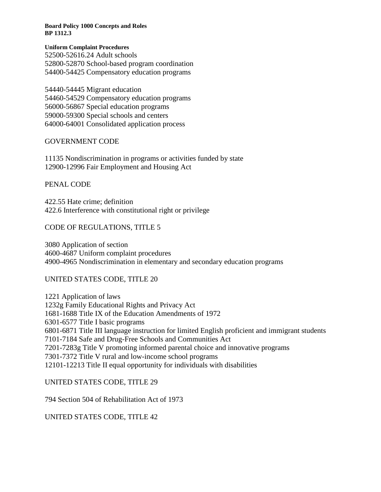#### **Uniform Complaint Procedures**

[-52616.24](http://gamutonline.net/displayPolicy/133065/1) Adult schools [-52870](http://gamutonline.net/displayPolicy/138109/1) School-based program coordination [-54425](http://gamutonline.net/displayPolicy/133253/1) Compensatory education programs

[-54445](http://gamutonline.net/displayPolicy/133265/1) Migrant education [-54529](http://gamutonline.net/displayPolicy/133285/1) Compensatory education programs [-56867](http://gamutonline.net/displayPolicy/249264/1) Special education programs [-59300](http://gamutonline.net/displayPolicy/133831/1) Special schools and centers [-64001](http://gamutonline.net/displayPolicy/133933/1) Consolidated application process

### GOVERNMENT CODE

 Nondiscrimination in programs or activities funded by state [-12996](http://gamutonline.net/displayPolicy/144699/1) Fair Employment and Housing Act

## PENAL CODE

[422.55](http://gamutonline.net/displayPolicy/352313/1) Hate crime; definition [422.6](http://gamutonline.net/displayPolicy/169695/1) Interference with constitutional right or privilege

## CODE OF REGULATIONS, TITLE 5

 Application of section [-4687](http://gamutonline.net/displayPolicy/390302/1) Uniform complaint procedures [-4965](http://gamutonline.net/displayPolicy/244922/1) Nondiscrimination in elementary and secondary education programs

## UNITED STATES CODE, TITLE 20

 Application of laws [1232g](http://gamutonline.net/displayPolicy/189959/1) Family Educational Rights and Privacy Act [-1688](http://gamutonline.net/displayPolicy/189987/1) Title IX of the Education Amendments of 1972 [-6577](http://gamutonline.net/displayPolicy/302977/1) Title I basic programs [-6871](http://gamutonline.net/displayPolicy/190249/1) Title III language instruction for limited English proficient and immigrant students [-7184](http://gamutonline.net/displayPolicy/302797/1) Safe and Drug-Free Schools and Communities Act [-7283g](http://gamutonline.net/displayPolicy/303160/1) Title V promoting informed parental choice and innovative programs [-7372](http://gamutonline.net/displayPolicy/302872/1) Title V rural and low-income school programs 12101-12213 Title II equal opportunity for individuals with disabilities

## UNITED STATES CODE, TITLE 29

Section 504 of Rehabilitation Act of 1973

UNITED STATES CODE, TITLE 42